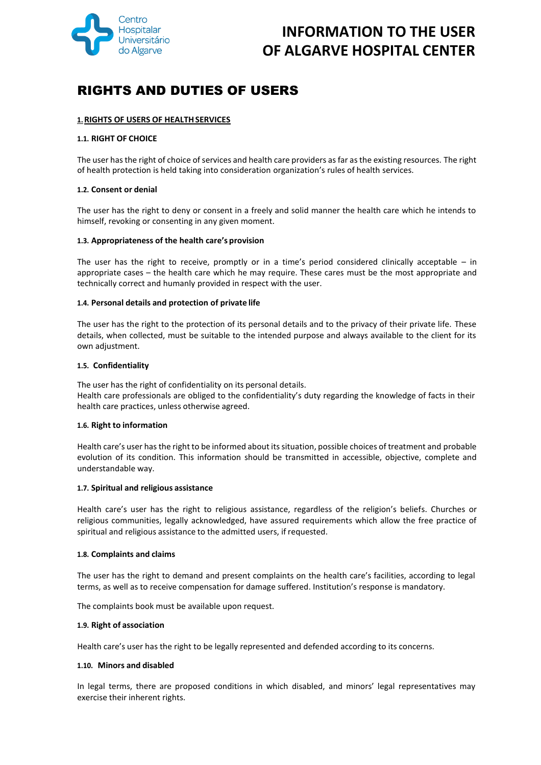

# RIGHTS AND DUTIES OF USERS

# **1.RIGHTS OF USERS OF HEALTHSERVICES**

# **1.1. RIGHT OF CHOICE**

The user has the right of choice of services and health care providers as far as the existing resources. The right of health protection is held taking into consideration organization's rules of health services.

# **1.2. Consent or denial**

The user has the right to deny or consent in a freely and solid manner the health care which he intends to himself, revoking or consenting in any given moment.

# **1.3. Appropriateness of the health care's provision**

The user has the right to receive, promptly or in a time's period considered clinically acceptable  $-$  in appropriate cases – the health care which he may require. These cares must be the most appropriate and technically correct and humanly provided in respect with the user.

# **1.4. Personal details and protection of private life**

The user has the right to the protection of its personal details and to the privacy of their private life. These details, when collected, must be suitable to the intended purpose and always available to the client for its own adjustment.

# **1.5. Confidentiality**

The user has the right of confidentiality on its personal details. Health care professionals are obliged to the confidentiality's duty regarding the knowledge of facts in their health care practices, unless otherwise agreed.

# **1.6. Right to information**

Health care's user has the right to be informed about its situation, possible choices of treatment and probable evolution of its condition. This information should be transmitted in accessible, objective, complete and understandable way.

# **1.7. Spiritual and religious assistance**

Health care's user has the right to religious assistance, regardless of the religion's beliefs. Churches or religious communities, legally acknowledged, have assured requirements which allow the free practice of spiritual and religious assistance to the admitted users, if requested.

# **1.8. Complaints and claims**

The user has the right to demand and present complaints on the health care's facilities, according to legal terms, as well as to receive compensation for damage suffered. Institution's response is mandatory.

The complaints book must be available upon request.

### **1.9. Right of association**

Health care's user has the right to be legally represented and defended according to its concerns.

### **1.10. Minors and disabled**

In legal terms, there are proposed conditions in which disabled, and minors' legal representatives may exercise their inherent rights.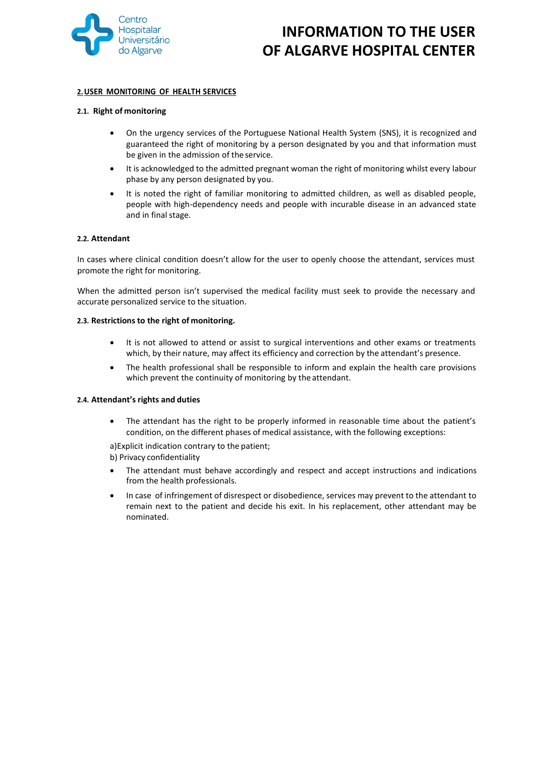

# **2.USER MONITORING OF HEALTH SERVICES**

### **2.1. Right of monitoring**

- On the urgency services of the Portuguese National Health System (SNS), it is recognized and guaranteed the right of monitoring by a person designated by you and that information must be given in the admission of the service.
- It is acknowledged to the admitted pregnant woman the right of monitoring whilst every labour phase by any person designated by you.
- It is noted the right of familiar monitoring to admitted children, as well as disabled people, people with high-dependency needs and people with incurable disease in an advanced state and in final stage.

# **2.2. Attendant**

In cases where clinical condition doesn't allow for the user to openly choose the attendant, services must promote the right for monitoring.

When the admitted person isn't supervised the medical facility must seek to provide the necessary and accurate personalized service to the situation.

### **2.3. Restrictions to the right of monitoring.**

- It is not allowed to attend or assist to surgical interventions and other exams or treatments which, by their nature, may affect its efficiency and correction by the attendant's presence.
- The health professional shall be responsible to inform and explain the health care provisions which prevent the continuity of monitoring by the attendant.

### **2.4. Attendant's rights and duties**

 The attendant has the right to be properly informed in reasonable time about the patient's condition, on the different phases of medical assistance, with the following exceptions:

a)Explicit indication contrary to the patient;

b) Privacy confidentiality

- The attendant must behave accordingly and respect and accept instructions and indications from the health professionals.
- In case of infringement of disrespect or disobedience, services may prevent to the attendant to remain next to the patient and decide his exit. In his replacement, other attendant may be nominated.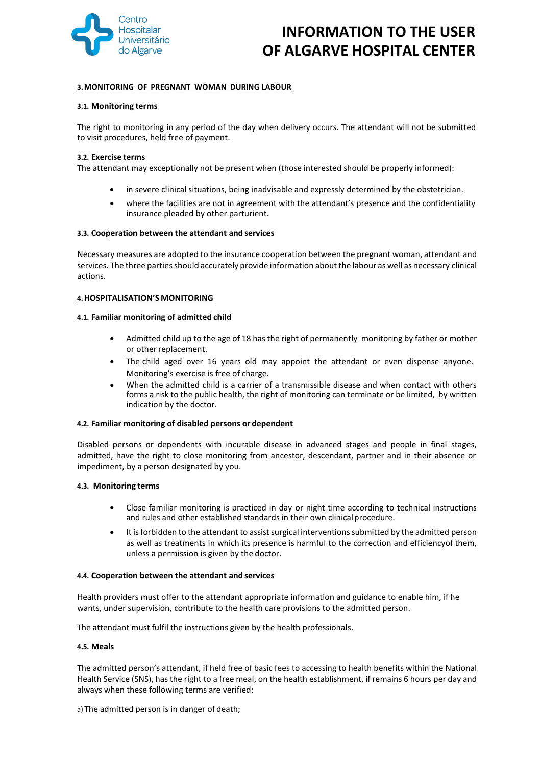

# **3.MONITORING OF PREGNANT WOMAN DURING LABOUR**

#### **3.1. Monitoring terms**

The right to monitoring in any period of the day when delivery occurs. The attendant will not be submitted to visit procedures, held free of payment.

### **3.2. Exercise terms**

The attendant may exceptionally not be present when (those interested should be properly informed):

- in severe clinical situations, being inadvisable and expressly determined by the obstetrician.
- where the facilities are not in agreement with the attendant's presence and the confidentiality insurance pleaded by other parturient.

### **3.3. Cooperation between the attendant and services**

Necessary measures are adopted to the insurance cooperation between the pregnant woman, attendant and services. The three parties should accurately provide information about the labour as well as necessary clinical actions.

### **4.HOSPITALISATION'S MONITORING**

### **4.1. Familiar monitoring of admitted child**

- Admitted child up to the age of 18 has the right of permanently monitoring by father or mother or other replacement.
- The child aged over 16 years old may appoint the attendant or even dispense anyone. Monitoring's exercise is free of charge.
- When the admitted child is a carrier of a transmissible disease and when contact with others forms a risk to the public health, the right of monitoring can terminate or be limited, by written indication by the doctor.

### **4.2. Familiar monitoring of disabled persons or dependent**

Disabled persons or dependents with incurable disease in advanced stages and people in final stages, admitted, have the right to close monitoring from ancestor, descendant, partner and in their absence or impediment, by a person designated by you.

### **4.3. Monitoring terms**

- Close familiar monitoring is practiced in day or night time according to technical instructions and rules and other established standards in their own clinical procedure.
- It is forbidden to the attendant to assist surgical interventions submitted by the admitted person as well as treatments in which its presence is harmful to the correction and efficiencyof them, unless a permission is given by the doctor.

### **4.4. Cooperation between the attendant and services**

Health providers must offer to the attendant appropriate information and guidance to enable him, if he wants, under supervision, contribute to the health care provisions to the admitted person.

The attendant must fulfil the instructions given by the health professionals.

### **4.5. Meals**

The admitted person's attendant, if held free of basic fees to accessing to health benefits within the National Health Service (SNS), has the right to a free meal, on the health establishment, if remains 6 hours per day and always when these following terms are verified:

a) The admitted person is in danger of death;